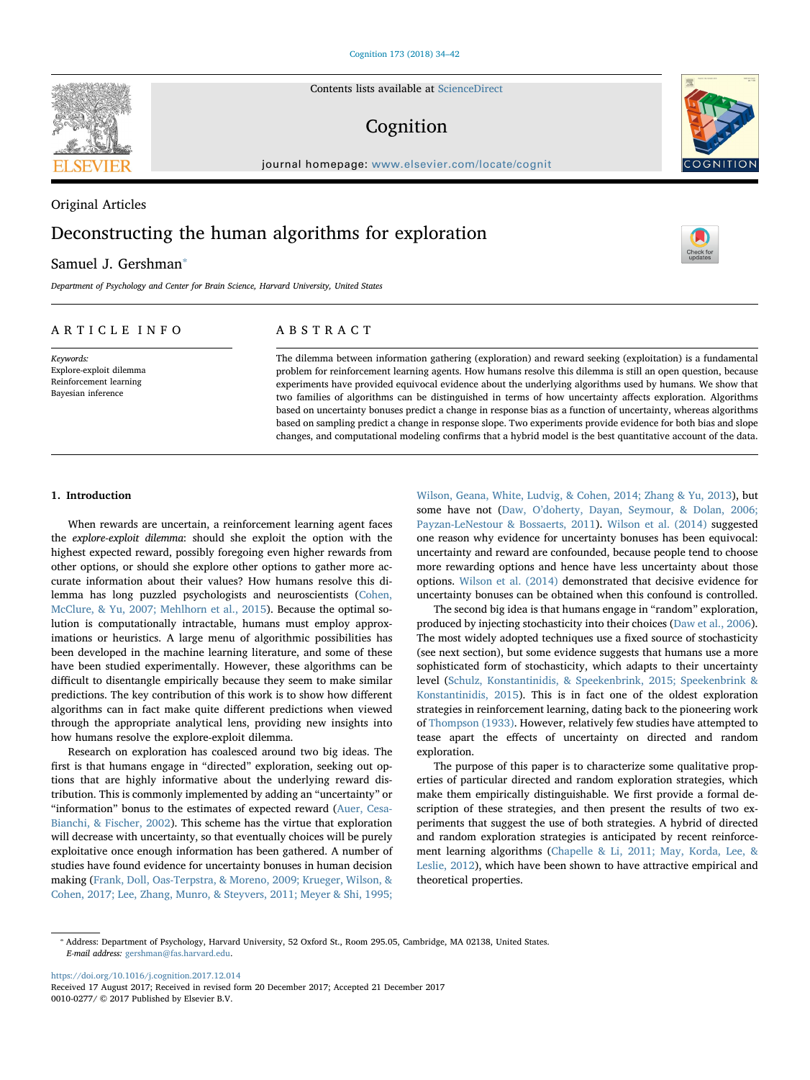Contents lists available at [ScienceDirect](http://www.sciencedirect.com/science/journal/00100277)

# Cognition

journal homepage: [www.elsevier.com/locate/cognit](https://www.elsevier.com/locate/cognit)

# Original Articles Deconstructing the human algorithms for exploration

# Samuel J. Gershman<sup>®</sup>

Department of Psychology and Center for Brain Science, Harvard University, United States

# ARTICLE INFO

Keywords: Explore-exploit dilemma Reinforcement learning Bayesian inference

# ABSTRACT

The dilemma between information gathering (exploration) and reward seeking (exploitation) is a fundamental problem for reinforcement learning agents. How humans resolve this dilemma is still an open question, because experiments have provided equivocal evidence about the underlying algorithms used by humans. We show that two families of algorithms can be distinguished in terms of how uncertainty affects exploration. Algorithms based on uncertainty bonuses predict a change in response bias as a function of uncertainty, whereas algorithms based on sampling predict a change in response slope. Two experiments provide evidence for both bias and slope changes, and computational modeling confirms that a hybrid model is the best quantitative account of the data.

#### 1. Introduction

When rewards are uncertain, a reinforcement learning agent faces the explore-exploit dilemma: should she exploit the option with the highest expected reward, possibly foregoing even higher rewards from other options, or should she explore other options to gather more accurate information about their values? How humans resolve this dilemma has long puzzled psychologists and neuroscientists [\(Cohen,](#page-7-0) [McClure, & Yu, 2007; Mehlhorn et al., 2015\)](#page-7-0). Because the optimal solution is computationally intractable, humans must employ approximations or heuristics. A large menu of algorithmic possibilities has been developed in the machine learning literature, and some of these have been studied experimentally. However, these algorithms can be difficult to disentangle empirically because they seem to make similar predictions. The key contribution of this work is to show how different algorithms can in fact make quite different predictions when viewed through the appropriate analytical lens, providing new insights into how humans resolve the explore-exploit dilemma.

Research on exploration has coalesced around two big ideas. The first is that humans engage in "directed" exploration, seeking out options that are highly informative about the underlying reward distribution. This is commonly implemented by adding an "uncertainty" or "information" bonus to the estimates of expected reward ([Auer, Cesa-](#page-7-1)[Bianchi, & Fischer, 2002](#page-7-1)). This scheme has the virtue that exploration will decrease with uncertainty, so that eventually choices will be purely exploitative once enough information has been gathered. A number of studies have found evidence for uncertainty bonuses in human decision making ([Frank, Doll, Oas-Terpstra, & Moreno, 2009; Krueger, Wilson, &](#page-7-2) [Cohen, 2017; Lee, Zhang, Munro, & Steyvers, 2011; Meyer & Shi, 1995;](#page-7-2)

[Wilson, Geana, White, Ludvig, & Cohen, 2014; Zhang & Yu, 2013](#page-7-2)), but some have not (Daw, O'[doherty, Dayan, Seymour, & Dolan, 2006;](#page-7-3) [Payzan-LeNestour & Bossaerts, 2011](#page-7-3)). [Wilson et al. \(2014\)](#page-8-0) suggested one reason why evidence for uncertainty bonuses has been equivocal: uncertainty and reward are confounded, because people tend to choose more rewarding options and hence have less uncertainty about those options. [Wilson et al. \(2014\)](#page-8-0) demonstrated that decisive evidence for uncertainty bonuses can be obtained when this confound is controlled.

The second big idea is that humans engage in "random" exploration, produced by injecting stochasticity into their choices ([Daw et al., 2006](#page-7-3)). The most widely adopted techniques use a fixed source of stochasticity (see next section), but some evidence suggests that humans use a more sophisticated form of stochasticity, which adapts to their uncertainty level ([Schulz, Konstantinidis, & Speekenbrink, 2015; Speekenbrink &](#page-8-1) [Konstantinidis, 2015\)](#page-8-1). This is in fact one of the oldest exploration strategies in reinforcement learning, dating back to the pioneering work of [Thompson \(1933\)](#page-8-2). However, relatively few studies have attempted to tease apart the effects of uncertainty on directed and random exploration.

The purpose of this paper is to characterize some qualitative properties of particular directed and random exploration strategies, which make them empirically distinguishable. We first provide a formal description of these strategies, and then present the results of two experiments that suggest the use of both strategies. A hybrid of directed and random exploration strategies is anticipated by recent reinforcement learning algorithms ([Chapelle & Li, 2011; May, Korda, Lee, &](#page-7-4) [Leslie, 2012](#page-7-4)), which have been shown to have attractive empirical and theoretical properties.

<https://doi.org/10.1016/j.cognition.2017.12.014>







<span id="page-0-0"></span><sup>⁎</sup> Address: Department of Psychology, Harvard University, 52 Oxford St., Room 295.05, Cambridge, MA 02138, United States. E-mail address: [gershman@fas.harvard.edu](mailto:gershman@fas.harvard.edu).

Received 17 August 2017; Received in revised form 20 December 2017; Accepted 21 December 2017 0010-0277/ © 2017 Published by Elsevier B.V.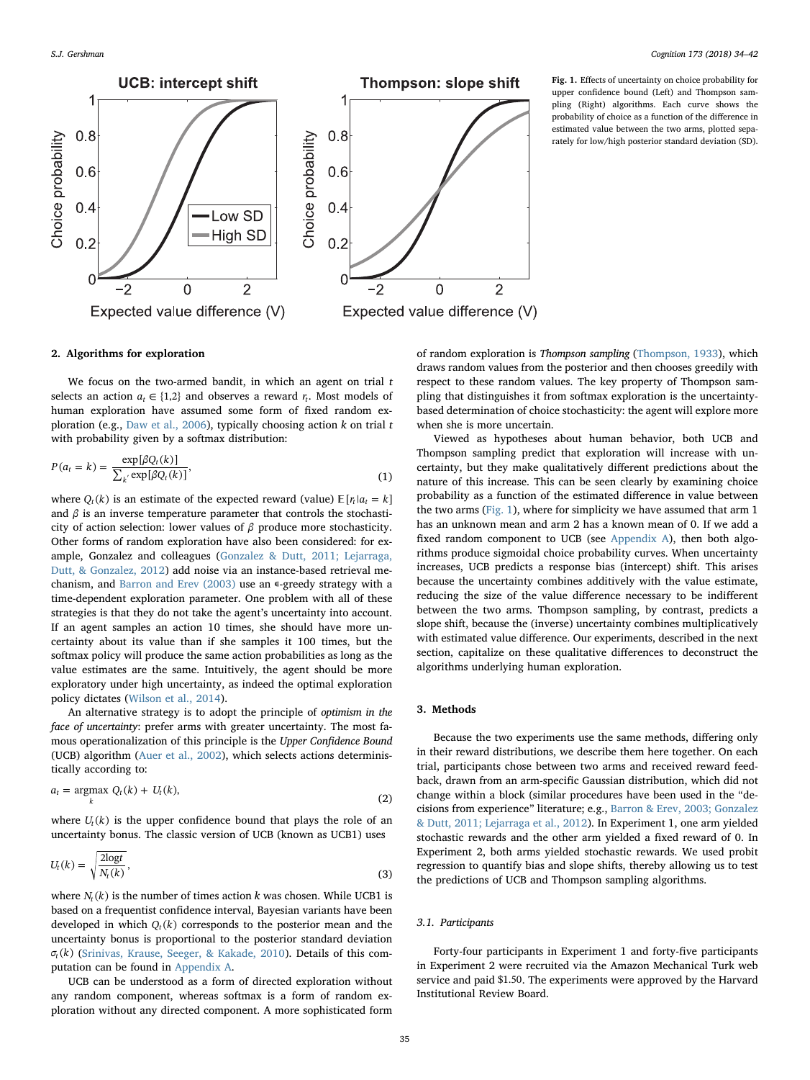<span id="page-1-0"></span>

Fig. 1. Effects of uncertainty on choice probability for upper confidence bound (Left) and Thompson sampling (Right) algorithms. Each curve shows the probability of choice as a function of the difference in estimated value between the two arms, plotted separately for low/high posterior standard deviation (SD).

# 2. Algorithms for exploration

We focus on the two-armed bandit, in which an agent on trial  $t$ selects an action  $a_t \in \{1,2\}$  and observes a reward  $r_t$ . Most models of human exploration have assumed some form of fixed random ex-ploration (e.g., [Daw et al., 2006\)](#page-7-3), typically choosing action  $k$  on trial  $t$ with probability given by a softmax distribution:

$$
P(a_t = k) = \frac{\exp[\beta Q_t(k)]}{\sum_{k'} \exp[\beta Q_t(k)]},
$$
\n(1)

where  $Q_t(k)$  is an estimate of the expected reward (value)  $\mathbb{E}[r_t|a_t = k]$ and  $\beta$  is an inverse temperature parameter that controls the stochasticity of action selection: lower values of *β* produce more stochasticity. Other forms of random exploration have also been considered: for example, Gonzalez and colleagues ([Gonzalez & Dutt, 2011; Lejarraga,](#page-7-5) [Dutt, & Gonzalez, 2012](#page-7-5)) add noise via an instance-based retrieval me-chanism, and [Barron and Erev \(2003\)](#page-7-6) use an  $\epsilon$ -greedy strategy with a time-dependent exploration parameter. One problem with all of these strategies is that they do not take the agent's uncertainty into account. If an agent samples an action 10 times, she should have more uncertainty about its value than if she samples it 100 times, but the softmax policy will produce the same action probabilities as long as the value estimates are the same. Intuitively, the agent should be more exploratory under high uncertainty, as indeed the optimal exploration policy dictates ([Wilson et al., 2014](#page-8-0)).

An alternative strategy is to adopt the principle of optimism in the face of uncertainty: prefer arms with greater uncertainty. The most famous operationalization of this principle is the Upper Confidence Bound (UCB) algorithm [\(Auer et al., 2002\)](#page-7-1), which selects actions deterministically according to:

$$
a_t = \underset{k}{\operatorname{argmax}} \ Q_t(k) + U_t(k),\tag{2}
$$

where  $U_t(k)$  is the upper confidence bound that plays the role of an uncertainty bonus. The classic version of UCB (known as UCB1) uses

$$
U_t(k) = \sqrt{\frac{2\log t}{N_t(k)}},\tag{3}
$$

where  $N_t(k)$  is the number of times action k was chosen. While UCB1 is based on a frequentist confidence interval, Bayesian variants have been developed in which  $Q_t(k)$  corresponds to the posterior mean and the uncertainty bonus is proportional to the posterior standard deviation *σt* (*k*) [\(Srinivas, Krause, Seeger, & Kakade, 2010\)](#page-8-3). Details of this computation can be found in [Appendix A](#page-6-0).

UCB can be understood as a form of directed exploration without any random component, whereas softmax is a form of random exploration without any directed component. A more sophisticated form

of random exploration is Thompson sampling ([Thompson, 1933](#page-8-2)), which draws random values from the posterior and then chooses greedily with respect to these random values. The key property of Thompson sampling that distinguishes it from softmax exploration is the uncertaintybased determination of choice stochasticity: the agent will explore more when she is more uncertain.

Viewed as hypotheses about human behavior, both UCB and Thompson sampling predict that exploration will increase with uncertainty, but they make qualitatively different predictions about the nature of this increase. This can be seen clearly by examining choice probability as a function of the estimated difference in value between the two arms ([Fig. 1](#page-1-0)), where for simplicity we have assumed that arm 1 has an unknown mean and arm 2 has a known mean of 0. If we add a fixed random component to UCB (see [Appendix A](#page-6-0)), then both algorithms produce sigmoidal choice probability curves. When uncertainty increases, UCB predicts a response bias (intercept) shift. This arises because the uncertainty combines additively with the value estimate, reducing the size of the value difference necessary to be indifferent between the two arms. Thompson sampling, by contrast, predicts a slope shift, because the (inverse) uncertainty combines multiplicatively with estimated value difference. Our experiments, described in the next section, capitalize on these qualitative differences to deconstruct the algorithms underlying human exploration.

# 3. Methods

Because the two experiments use the same methods, differing only in their reward distributions, we describe them here together. On each trial, participants chose between two arms and received reward feedback, drawn from an arm-specific Gaussian distribution, which did not change within a block (similar procedures have been used in the "decisions from experience" literature; e.g., [Barron & Erev, 2003; Gonzalez](#page-7-6) [& Dutt, 2011; Lejarraga et al., 2012](#page-7-6)). In Experiment 1, one arm yielded stochastic rewards and the other arm yielded a fixed reward of 0. In Experiment 2, both arms yielded stochastic rewards. We used probit regression to quantify bias and slope shifts, thereby allowing us to test the predictions of UCB and Thompson sampling algorithms.

# 3.1. Participants

Forty-four participants in Experiment 1 and forty-five participants in Experiment 2 were recruited via the Amazon Mechanical Turk web service and paid \$1.50. The experiments were approved by the Harvard Institutional Review Board.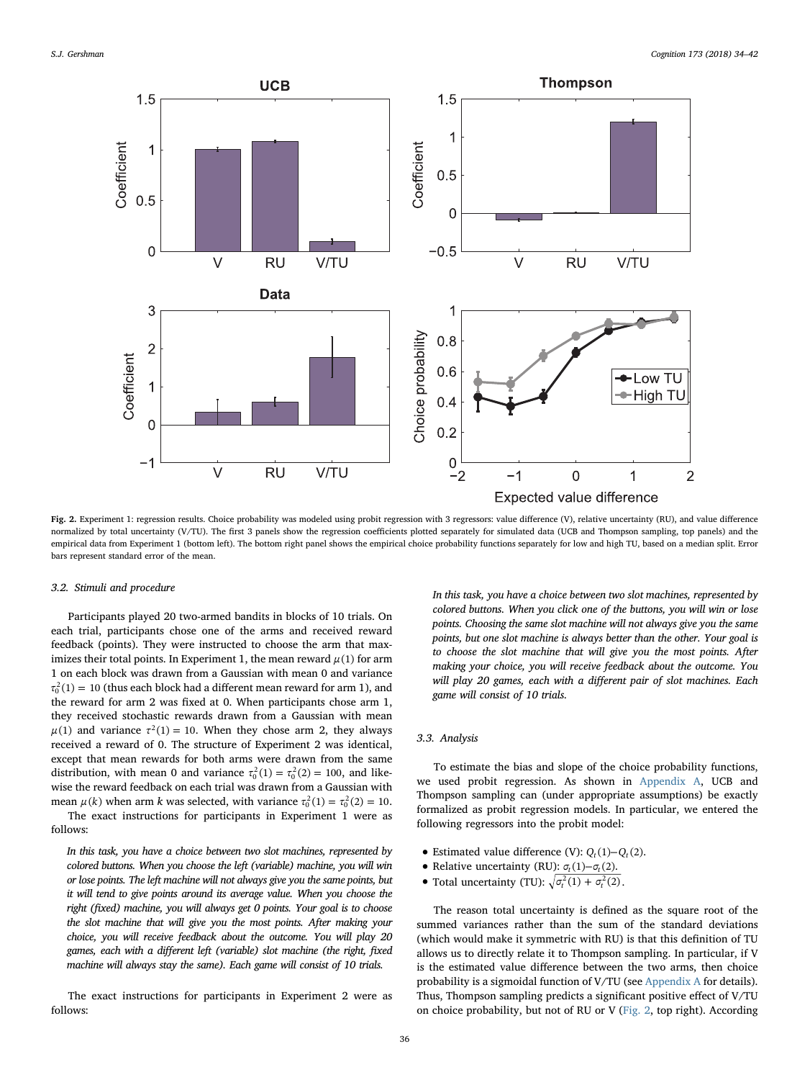<span id="page-2-0"></span>

Fig. 2. Experiment 1: regression results. Choice probability was modeled using probit regression with 3 regressors: value difference (V), relative uncertainty (RU), and value difference normalized by total uncertainty (V/TU). The first 3 panels show the regression coefficients plotted separately for simulated data (UCB and Thompson sampling, top panels) and the empirical data from Experiment 1 (bottom left). The bottom right panel shows the empirical choice probability functions separately for low and high TU, based on a median split. Error bars represent standard error of the mean.

# 3.2. Stimuli and procedure

Participants played 20 two-armed bandits in blocks of 10 trials. On each trial, participants chose one of the arms and received reward feedback (points). They were instructed to choose the arm that maximizes their total points. In Experiment 1, the mean reward  $\mu(1)$  for arm 1 on each block was drawn from a Gaussian with mean 0 and variance  $\tau_0^2(1) = 10$  (thus each block had a different mean reward for arm 1), and the reward for arm 2 was fixed at 0. When participants chose arm 1, they received stochastic rewards drawn from a Gaussian with mean  $\mu(1)$  and variance  $\tau^2(1) = 10$ . When they chose arm 2, they always received a reward of 0. The structure of Experiment 2 was identical, except that mean rewards for both arms were drawn from the same distribution, with mean 0 and variance  $\tau_0^2(1) = \tau_0^2(2) = 100$ , and likewise the reward feedback on each trial was drawn from a Gaussian with mean  $\mu(k)$  when arm k was selected, with variance  $\tau_0^2(1) = \tau_0^2(2) = 10$ . The exact instructions for participants in Experiment 1 were as

follows:

In this task, you have a choice between two slot machines, represented by colored buttons. When you choose the left (variable) machine, you will win or lose points. The left machine will not always give you the same points, but it will tend to give points around its average value. When you choose the right (fixed) machine, you will always get 0 points. Your goal is to choose the slot machine that will give you the most points. After making your choice, you will receive feedback about the outcome. You will play 20 games, each with a different left (variable) slot machine (the right, fixed machine will always stay the same). Each game will consist of 10 trials.

The exact instructions for participants in Experiment 2 were as follows:

In this task, you have a choice between two slot machines, represented by colored buttons. When you click one of the buttons, you will win or lose points. Choosing the same slot machine will not always give you the same points, but one slot machine is always better than the other. Your goal is to choose the slot machine that will give you the most points. After making your choice, you will receive feedback about the outcome. You will play 20 games, each with a different pair of slot machines. Each game will consist of 10 trials.

#### 3.3. Analysis

To estimate the bias and slope of the choice probability functions, we used probit regression. As shown in [Appendix A](#page-6-0), UCB and Thompson sampling can (under appropriate assumptions) be exactly formalized as probit regression models. In particular, we entered the following regressors into the probit model:

- Estimated value difference (V):  $Q_t(1) Q_t(2)$ .
- Relative uncertainty (RU):  $\sigma_t(1) \sigma_t(2)$ .
- Total uncertainty (TU):  $\sqrt{\sigma_t^2(1) + \sigma_t^2(2)}$ .

The reason total uncertainty is defined as the square root of the summed variances rather than the sum of the standard deviations (which would make it symmetric with RU) is that this definition of TU allows us to directly relate it to Thompson sampling. In particular, if V is the estimated value difference between the two arms, then choice probability is a sigmoidal function of V/TU (see [Appendix A](#page-6-0) for details). Thus, Thompson sampling predicts a significant positive effect of V/TU on choice probability, but not of RU or V [\(Fig. 2](#page-2-0), top right). According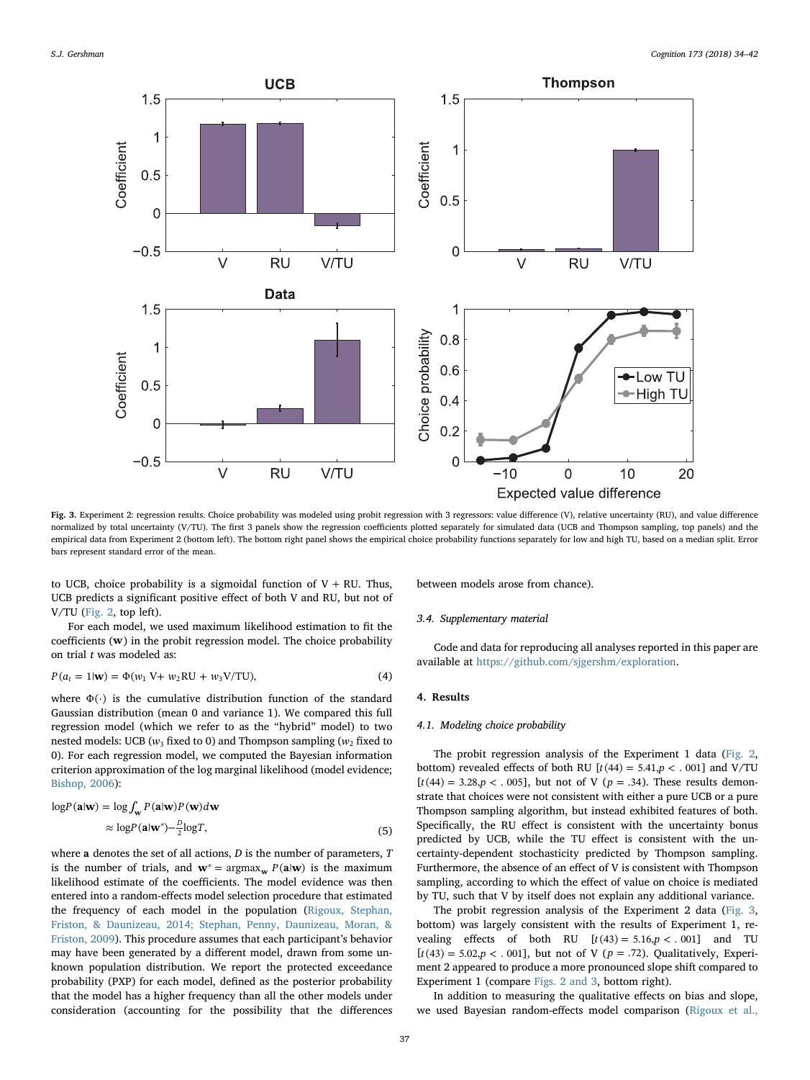<span id="page-3-0"></span>

Fig. 3. Experiment 2: regression results. Choice probability was modeled using probit regression with 3 regressors: value difference (V), relative uncertainty (RU), and value difference normalized by total uncertainty (V/TU). The first 3 panels show the regression coefficients plotted separately for simulated data (UCB and Thompson sampling, top panels) and the empirical data from Experiment 2 (bottom left). The bottom right panel shows the empirical choice probability functions separately for low and high TU, based on a median split. Error bars represent standard error of the mean.

to UCB, choice probability is a sigmoidal function of  $V + RU$ . Thus, UCB predicts a significant positive effect of both V and RU, but not of V/TU ([Fig. 2](#page-2-0), top left).

For each model, we used maximum likelihood estimation to fit the coefficients (**w**) in the probit regression model. The choice probability on trial t was modeled as:

$$
P(a_t = 1 | \mathbf{w}) = \Phi(w_1 \, \mathbf{V} + w_2 \, \mathbf{R} \mathbf{U} + w_3 \, \mathbf{V} / \mathbf{T} \mathbf{U}),\tag{4}
$$

where  $\Phi(\cdot)$  is the cumulative distribution function of the standard Gaussian distribution (mean 0 and variance 1). We compared this full regression model (which we refer to as the "hybrid" model) to two nested models: UCB ( $w_3$  fixed to 0) and Thompson sampling ( $w_2$  fixed to 0). For each regression model, we computed the Bayesian information criterion approximation of the log marginal likelihood (model evidence; [Bishop, 2006](#page-7-7)):

$$
\log P(\mathbf{a}|\mathbf{w}) = \log \int_{\mathbf{w}} P(\mathbf{a}|\mathbf{w}) P(\mathbf{w}) d\mathbf{w}
$$

$$
\approx \log P(\mathbf{a}|\mathbf{w}^*) - \frac{D}{2} \log T,\tag{5}
$$

where **a** denotes the set of all actions, *D* is the number of parameters, *T* is the number of trials, and  $\mathbf{w}^* = \arg \max_{\mathbf{w}} P(\mathbf{a}|\mathbf{w})$  is the maximum likelihood estimate of the coefficients. The model evidence was then entered into a random-effects model selection procedure that estimated the frequency of each model in the population [\(Rigoux, Stephan,](#page-8-4) [Friston, & Daunizeau, 2014; Stephan, Penny, Daunizeau, Moran, &](#page-8-4) [Friston, 2009](#page-8-4)). This procedure assumes that each participant's behavior may have been generated by a different model, drawn from some unknown population distribution. We report the protected exceedance probability (PXP) for each model, defined as the posterior probability that the model has a higher frequency than all the other models under consideration (accounting for the possibility that the differences between models arose from chance).

#### 3.4. Supplementary material

Code and data for reproducing all analyses reported in this paper are available at <https://github.com/sjgershm/exploration>.

#### 4. Results

# 4.1. Modeling choice probability

The probit regression analysis of the Experiment 1 data ([Fig. 2](#page-2-0), bottom) revealed effects of both RU  $[t(44) = 5.41, p < .001]$  and V/TU  $[t(44) = 3.28, p < .005]$ , but not of V ( $p = .34$ ). These results demonstrate that choices were not consistent with either a pure UCB or a pure Thompson sampling algorithm, but instead exhibited features of both. Specifically, the RU effect is consistent with the uncertainty bonus predicted by UCB, while the TU effect is consistent with the uncertainty-dependent stochasticity predicted by Thompson sampling. Furthermore, the absence of an effect of V is consistent with Thompson sampling, according to which the effect of value on choice is mediated by TU, such that V by itself does not explain any additional variance.

The probit regression analysis of the Experiment 2 data ([Fig. 3](#page-3-0), bottom) was largely consistent with the results of Experiment 1, revealing effects of both RU  $[t(43) = 5.16, p < .001]$  and TU  $[t(43) = 5.02, p < .001]$ , but not of V ( $p = .72$ ). Qualitatively, Experiment 2 appeared to produce a more pronounced slope shift compared to Experiment 1 (compare [Figs. 2 and 3](#page-2-0), bottom right).

In addition to measuring the qualitative effects on bias and slope, we used Bayesian random-effects model comparison [\(Rigoux et al.,](#page-8-4)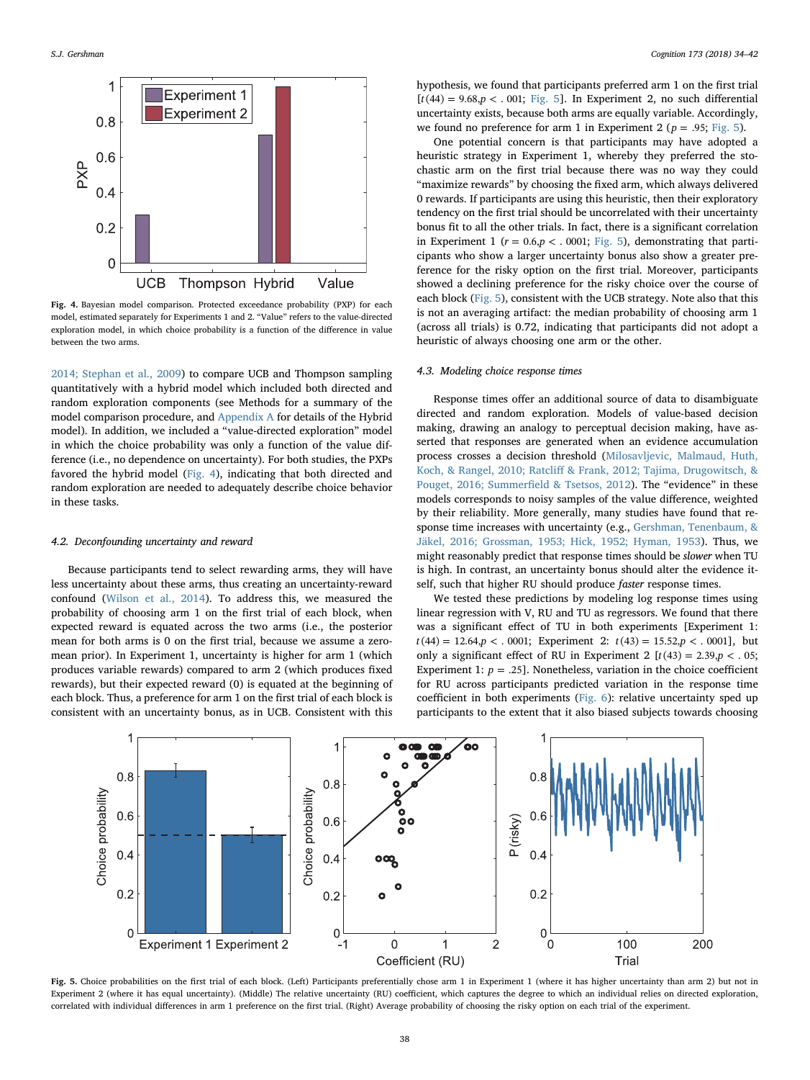<span id="page-4-0"></span>

Fig. 4. Bayesian model comparison. Protected exceedance probability (PXP) for each model, estimated separately for Experiments 1 and 2. "Value" refers to the value-directed exploration model, in which choice probability is a function of the difference in value between the two arms.

[2014; Stephan et al., 2009](#page-8-4)) to compare UCB and Thompson sampling quantitatively with a hybrid model which included both directed and random exploration components (see Methods for a summary of the model comparison procedure, and [Appendix A](#page-6-0) for details of the Hybrid model). In addition, we included a "value-directed exploration" model in which the choice probability was only a function of the value difference (i.e., no dependence on uncertainty). For both studies, the PXPs favored the hybrid model ([Fig. 4\)](#page-4-0), indicating that both directed and random exploration are needed to adequately describe choice behavior in these tasks.

# 4.2. Deconfounding uncertainty and reward

Because participants tend to select rewarding arms, they will have less uncertainty about these arms, thus creating an uncertainty-reward confound [\(Wilson et al., 2014\)](#page-8-0). To address this, we measured the probability of choosing arm 1 on the first trial of each block, when expected reward is equated across the two arms (i.e., the posterior mean for both arms is 0 on the first trial, because we assume a zeromean prior). In Experiment 1, uncertainty is higher for arm 1 (which produces variable rewards) compared to arm 2 (which produces fixed rewards), but their expected reward (0) is equated at the beginning of each block. Thus, a preference for arm 1 on the first trial of each block is consistent with an uncertainty bonus, as in UCB. Consistent with this

hypothesis, we found that participants preferred arm 1 on the first trial  $[t(44) = 9.68, p < .001;$  [Fig. 5\]](#page-4-1). In Experiment 2, no such differential uncertainty exists, because both arms are equally variable. Accordingly, we found no preference for arm 1 in Experiment 2 ( $p = .95$ ; [Fig. 5\)](#page-4-1).

One potential concern is that participants may have adopted a heuristic strategy in Experiment 1, whereby they preferred the stochastic arm on the first trial because there was no way they could "maximize rewards" by choosing the fixed arm, which always delivered 0 rewards. If participants are using this heuristic, then their exploratory tendency on the first trial should be uncorrelated with their uncertainty bonus fit to all the other trials. In fact, there is a significant correlation in Experiment 1 ( $r = 0.6, p < 0.001$ ; [Fig. 5](#page-4-1)), demonstrating that participants who show a larger uncertainty bonus also show a greater preference for the risky option on the first trial. Moreover, participants showed a declining preference for the risky choice over the course of each block ([Fig. 5\)](#page-4-1), consistent with the UCB strategy. Note also that this is not an averaging artifact: the median probability of choosing arm 1 (across all trials) is 0.72, indicating that participants did not adopt a heuristic of always choosing one arm or the other.

#### 4.3. Modeling choice response times

Response times offer an additional source of data to disambiguate directed and random exploration. Models of value-based decision making, drawing an analogy to perceptual decision making, have asserted that responses are generated when an evidence accumulation process crosses a decision threshold ([Milosavljevic, Malmaud, Huth,](#page-7-8) Koch, & Rangel, 2010; Ratcliff [& Frank, 2012; Tajima, Drugowitsch, &](#page-7-8) [Pouget, 2016; Summer](#page-7-8)field & Tsetsos, 2012). The "evidence" in these models corresponds to noisy samples of the value difference, weighted by their reliability. More generally, many studies have found that response time increases with uncertainty (e.g., [Gershman, Tenenbaum, &](#page-7-9) [Jäkel, 2016; Grossman, 1953; Hick, 1952; Hyman, 1953](#page-7-9)). Thus, we might reasonably predict that response times should be slower when TU is high. In contrast, an uncertainty bonus should alter the evidence itself, such that higher RU should produce faster response times.

We tested these predictions by modeling log response times using linear regression with V, RU and TU as regressors. We found that there was a significant effect of TU in both experiments [Experiment 1:  $t(44) = 12.64, p < .0001$ ; Experiment 2:  $t(43) = 15.52, p < .0001$ , but only a significant effect of RU in Experiment 2  $[t(43) = 2.39, p < 0.05;$ Experiment 1:  $p = .25$ ]. Nonetheless, variation in the choice coefficient for RU across participants predicted variation in the response time coefficient in both experiments ([Fig. 6\)](#page-5-0): relative uncertainty sped up participants to the extent that it also biased subjects towards choosing

<span id="page-4-1"></span>

Fig. 5. Choice probabilities on the first trial of each block. (Left) Participants preferentially chose arm 1 in Experiment 1 (where it has higher uncertainty than arm 2) but not in Experiment 2 (where it has equal uncertainty). (Middle) The relative uncertainty (RU) coefficient, which captures the degree to which an individual relies on directed exploration, correlated with individual differences in arm 1 preference on the first trial. (Right) Average probability of choosing the risky option on each trial of the experiment.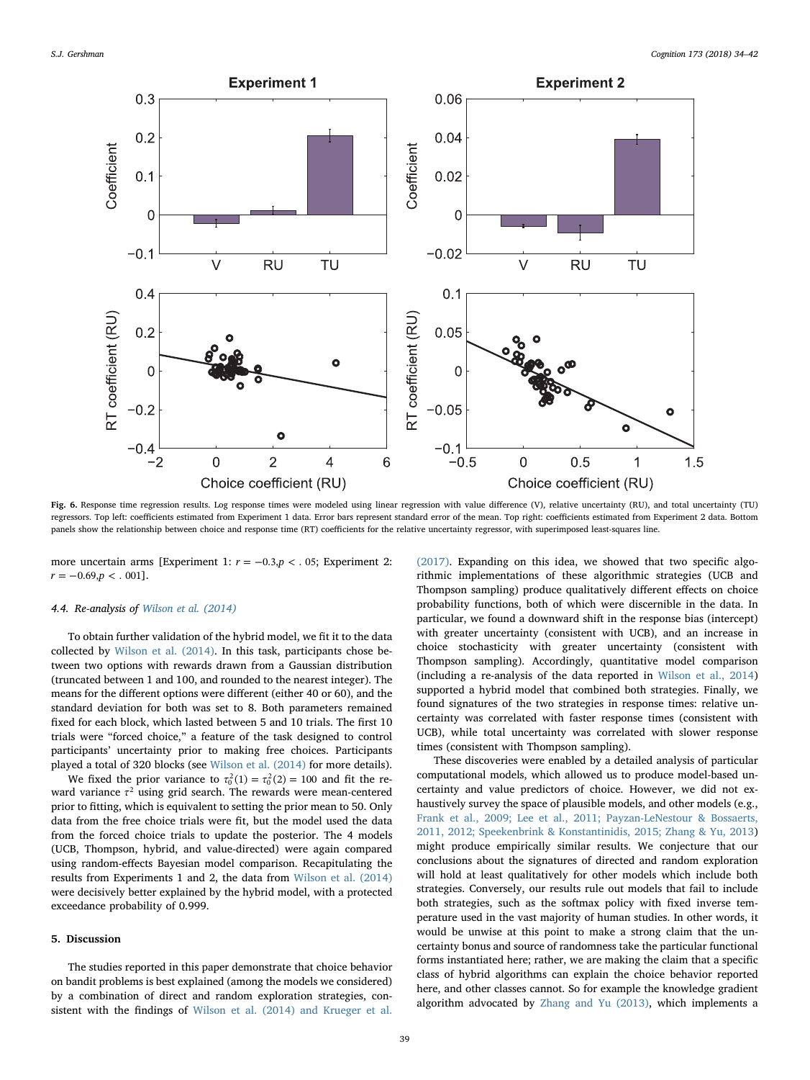<span id="page-5-0"></span>

Fig. 6. Response time regression results. Log response times were modeled using linear regression with value difference (V), relative uncertainty (RU), and total uncertainty (TU) regressors. Top left: coefficients estimated from Experiment 1 data. Error bars represent standard error of the mean. Top right: coefficients estimated from Experiment 2 data. Bottom panels show the relationship between choice and response time (RT) coefficients for the relative uncertainty regressor, with superimposed least-squares line.

more uncertain arms [Experiment 1:  $r = -0.3$ ,  $p < 0.05$ ; Experiment 2:  $r = -0.69, p < .001$ .

#### 4.4. Re-analysis of [Wilson et al. \(2014\)](#page-8-0)

To obtain further validation of the hybrid model, we fit it to the data collected by [Wilson et al. \(2014\).](#page-8-0) In this task, participants chose between two options with rewards drawn from a Gaussian distribution (truncated between 1 and 100, and rounded to the nearest integer). The means for the different options were different (either 40 or 60), and the standard deviation for both was set to 8. Both parameters remained fixed for each block, which lasted between 5 and 10 trials. The first 10 trials were "forced choice," a feature of the task designed to control participants' uncertainty prior to making free choices. Participants played a total of 320 blocks (see [Wilson et al. \(2014\)](#page-8-0) for more details).

We fixed the prior variance to  $\tau_0^2(1) = \tau_0^2(2) = 100$  and fit the reward variance *τ*<sup>2</sup> using grid search. The rewards were mean-centered prior to fitting, which is equivalent to setting the prior mean to 50. Only data from the free choice trials were fit, but the model used the data from the forced choice trials to update the posterior. The 4 models (UCB, Thompson, hybrid, and value-directed) were again compared using random-effects Bayesian model comparison. Recapitulating the results from Experiments 1 and 2, the data from [Wilson et al. \(2014\)](#page-8-0) were decisively better explained by the hybrid model, with a protected exceedance probability of 0.999.

#### 5. Discussion

The studies reported in this paper demonstrate that choice behavior on bandit problems is best explained (among the models we considered) by a combination of direct and random exploration strategies, consistent with the findings of [Wilson et al. \(2014\) and Krueger et al.](#page-8-0)

[\(2017\).](#page-8-0) Expanding on this idea, we showed that two specific algorithmic implementations of these algorithmic strategies (UCB and Thompson sampling) produce qualitatively different effects on choice probability functions, both of which were discernible in the data. In particular, we found a downward shift in the response bias (intercept) with greater uncertainty (consistent with UCB), and an increase in choice stochasticity with greater uncertainty (consistent with Thompson sampling). Accordingly, quantitative model comparison (including a re-analysis of the data reported in [Wilson et al., 2014\)](#page-8-0) supported a hybrid model that combined both strategies. Finally, we found signatures of the two strategies in response times: relative uncertainty was correlated with faster response times (consistent with UCB), while total uncertainty was correlated with slower response times (consistent with Thompson sampling).

These discoveries were enabled by a detailed analysis of particular computational models, which allowed us to produce model-based uncertainty and value predictors of choice. However, we did not exhaustively survey the space of plausible models, and other models (e.g., [Frank et al., 2009; Lee et al., 2011; Payzan-LeNestour & Bossaerts,](#page-7-2) [2011, 2012; Speekenbrink & Konstantinidis, 2015; Zhang & Yu, 2013\)](#page-7-2) might produce empirically similar results. We conjecture that our conclusions about the signatures of directed and random exploration will hold at least qualitatively for other models which include both strategies. Conversely, our results rule out models that fail to include both strategies, such as the softmax policy with fixed inverse temperature used in the vast majority of human studies. In other words, it would be unwise at this point to make a strong claim that the uncertainty bonus and source of randomness take the particular functional forms instantiated here; rather, we are making the claim that a specific class of hybrid algorithms can explain the choice behavior reported here, and other classes cannot. So for example the knowledge gradient algorithm advocated by [Zhang and Yu \(2013\)](#page-8-5), which implements a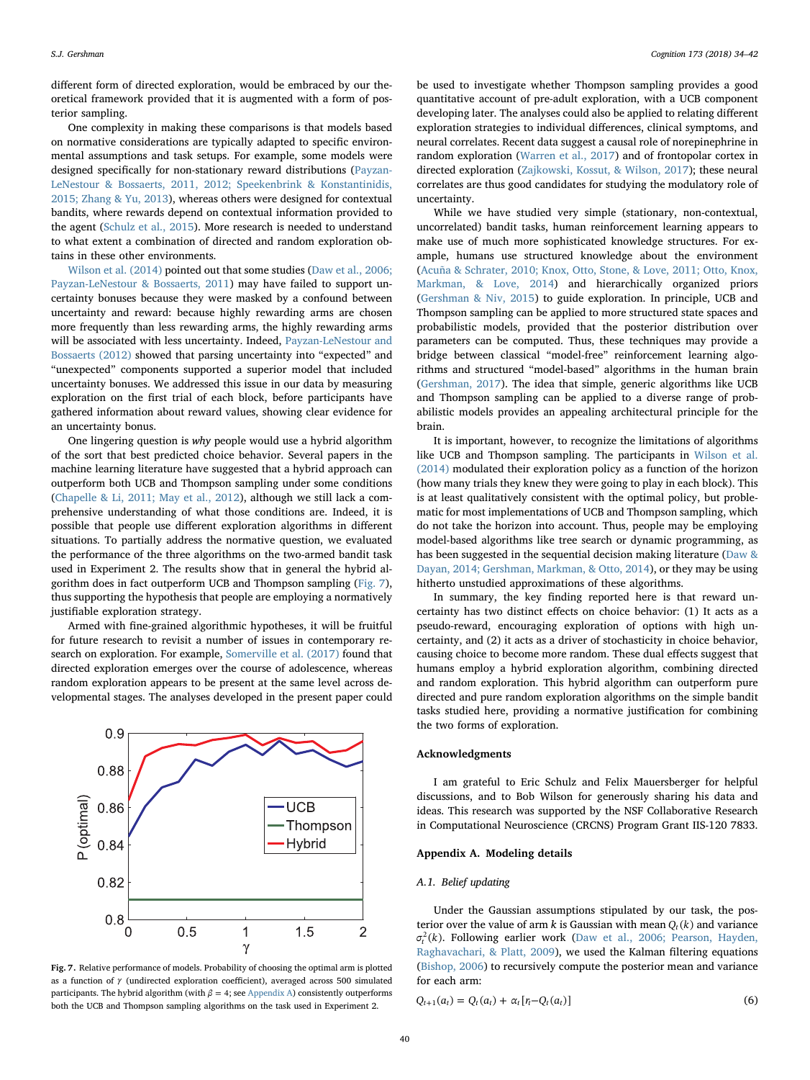different form of directed exploration, would be embraced by our theoretical framework provided that it is augmented with a form of posterior sampling.

One complexity in making these comparisons is that models based on normative considerations are typically adapted to specific environmental assumptions and task setups. For example, some models were designed specifically for non-stationary reward distributions ([Payzan-](#page-7-10)[LeNestour & Bossaerts, 2011, 2012; Speekenbrink & Konstantinidis,](#page-7-10) [2015; Zhang & Yu, 2013\)](#page-7-10), whereas others were designed for contextual bandits, where rewards depend on contextual information provided to the agent [\(Schulz et al., 2015\)](#page-8-1). More research is needed to understand to what extent a combination of directed and random exploration obtains in these other environments.

[Wilson et al. \(2014\)](#page-8-0) pointed out that some studies [\(Daw et al., 2006;](#page-7-3) [Payzan-LeNestour & Bossaerts, 2011](#page-7-3)) may have failed to support uncertainty bonuses because they were masked by a confound between uncertainty and reward: because highly rewarding arms are chosen more frequently than less rewarding arms, the highly rewarding arms will be associated with less uncertainty. Indeed, [Payzan-LeNestour and](#page-7-11) [Bossaerts \(2012\)](#page-7-11) showed that parsing uncertainty into "expected" and "unexpected" components supported a superior model that included uncertainty bonuses. We addressed this issue in our data by measuring exploration on the first trial of each block, before participants have gathered information about reward values, showing clear evidence for an uncertainty bonus.

One lingering question is why people would use a hybrid algorithm of the sort that best predicted choice behavior. Several papers in the machine learning literature have suggested that a hybrid approach can outperform both UCB and Thompson sampling under some conditions ([Chapelle & Li, 2011; May et al., 2012](#page-7-4)), although we still lack a comprehensive understanding of what those conditions are. Indeed, it is possible that people use different exploration algorithms in different situations. To partially address the normative question, we evaluated the performance of the three algorithms on the two-armed bandit task used in Experiment 2. The results show that in general the hybrid algorithm does in fact outperform UCB and Thompson sampling [\(Fig. 7](#page-6-1)), thus supporting the hypothesis that people are employing a normatively justifiable exploration strategy.

Armed with fine-grained algorithmic hypotheses, it will be fruitful for future research to revisit a number of issues in contemporary research on exploration. For example, [Somerville et al. \(2017\)](#page-8-6) found that directed exploration emerges over the course of adolescence, whereas random exploration appears to be present at the same level across developmental stages. The analyses developed in the present paper could

<span id="page-6-1"></span>

Fig. 7. Relative performance of models. Probability of choosing the optimal arm is plotted as a function of *γ* (undirected exploration coefficient), averaged across 500 simulated participants. The hybrid algorithm (with  $\beta = 4$ ; see [Appendix A](#page-6-0)) consistently outperforms both the UCB and Thompson sampling algorithms on the task used in Experiment 2.

be used to investigate whether Thompson sampling provides a good quantitative account of pre-adult exploration, with a UCB component developing later. The analyses could also be applied to relating different exploration strategies to individual differences, clinical symptoms, and neural correlates. Recent data suggest a causal role of norepinephrine in random exploration ([Warren et al., 2017](#page-8-7)) and of frontopolar cortex in directed exploration ([Zajkowski, Kossut, & Wilson, 2017\)](#page-8-8); these neural correlates are thus good candidates for studying the modulatory role of uncertainty.

While we have studied very simple (stationary, non-contextual, uncorrelated) bandit tasks, human reinforcement learning appears to make use of much more sophisticated knowledge structures. For example, humans use structured knowledge about the environment ([Acuña & Schrater, 2010; Knox, Otto, Stone, & Love, 2011; Otto, Knox,](#page-7-12) [Markman, & Love, 2014\)](#page-7-12) and hierarchically organized priors ([Gershman & Niv, 2015](#page-7-13)) to guide exploration. In principle, UCB and Thompson sampling can be applied to more structured state spaces and probabilistic models, provided that the posterior distribution over parameters can be computed. Thus, these techniques may provide a bridge between classical "model-free" reinforcement learning algorithms and structured "model-based" algorithms in the human brain ([Gershman, 2017\)](#page-7-14). The idea that simple, generic algorithms like UCB and Thompson sampling can be applied to a diverse range of probabilistic models provides an appealing architectural principle for the brain.

It is important, however, to recognize the limitations of algorithms like UCB and Thompson sampling. The participants in [Wilson et al.](#page-8-0) [\(2014\)](#page-8-0) modulated their exploration policy as a function of the horizon (how many trials they knew they were going to play in each block). This is at least qualitatively consistent with the optimal policy, but problematic for most implementations of UCB and Thompson sampling, which do not take the horizon into account. Thus, people may be employing model-based algorithms like tree search or dynamic programming, as has been suggested in the sequential decision making literature [\(Daw &](#page-7-15) [Dayan, 2014; Gershman, Markman, & Otto, 2014\)](#page-7-15), or they may be using hitherto unstudied approximations of these algorithms.

In summary, the key finding reported here is that reward uncertainty has two distinct effects on choice behavior: (1) It acts as a pseudo-reward, encouraging exploration of options with high uncertainty, and (2) it acts as a driver of stochasticity in choice behavior, causing choice to become more random. These dual effects suggest that humans employ a hybrid exploration algorithm, combining directed and random exploration. This hybrid algorithm can outperform pure directed and pure random exploration algorithms on the simple bandit tasks studied here, providing a normative justification for combining the two forms of exploration.

#### Acknowledgments

I am grateful to Eric Schulz and Felix Mauersberger for helpful discussions, and to Bob Wilson for generously sharing his data and ideas. This research was supported by the NSF Collaborative Research in Computational Neuroscience (CRCNS) Program Grant IIS-120 7833.

# <span id="page-6-0"></span>Appendix A. Modeling details

# A.1. Belief updating

Under the Gaussian assumptions stipulated by our task, the posterior over the value of arm  $k$  is Gaussian with mean  $Q_t(k)$  and variance  $\sigma_t^2(k)$ . Following earlier work ([Daw et al., 2006; Pearson, Hayden,](#page-7-3) [Raghavachari, & Platt, 2009](#page-7-3)), we used the Kalman filtering equations ([Bishop, 2006\)](#page-7-7) to recursively compute the posterior mean and variance for each arm:

$$
Q_{t+1}(a_t) = Q_t(a_t) + \alpha_t [r_t - Q_t(a_t)]
$$
\n(6)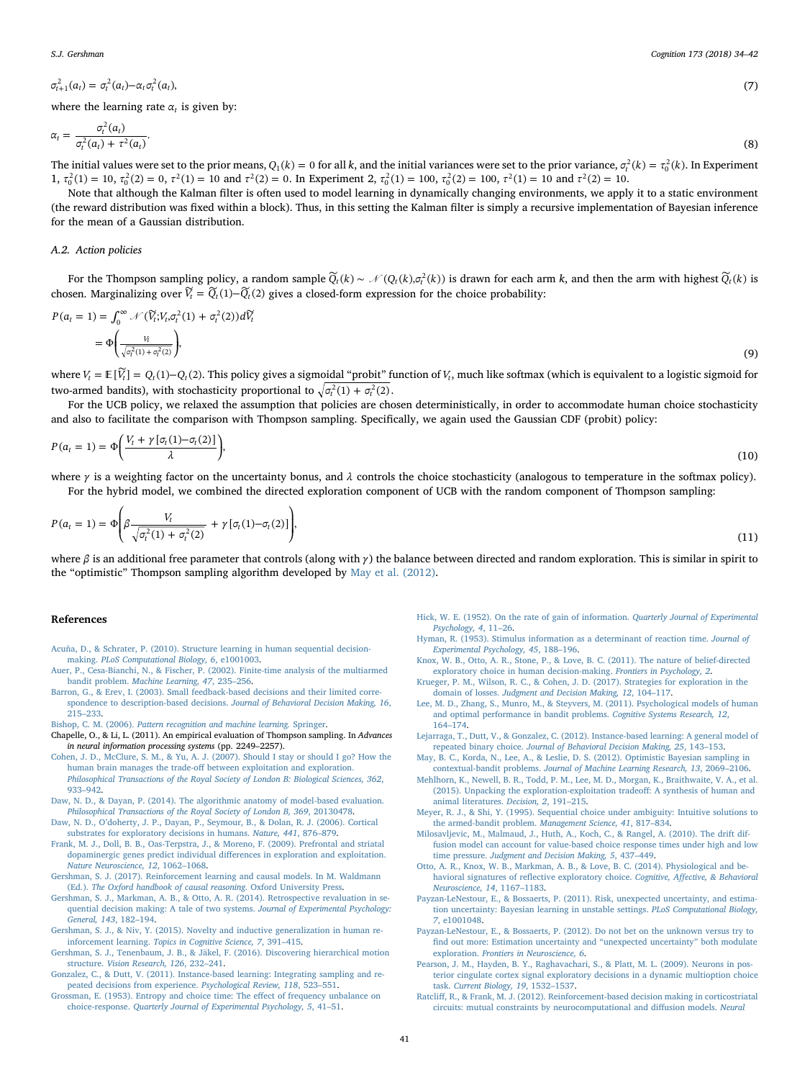$$
(7)
$$

$$
\sigma_{t+1}^2(a_t) = \sigma_t^2(a_t) - \alpha_t \sigma_t^2(a_t),\tag{7}
$$

where the learning rate  $\alpha_t$  is given by:

$$
\alpha_t = \frac{\sigma_t^2(a_t)}{\sigma_t^2(a_t) + \tau^2(a_t)}.\tag{8}
$$

The initial values were set to the prior means,  $Q_1(k) = 0$  for all k, and the initial variances were set to the prior variance,  $\sigma_t^2(k) = \tau_0^2(k)$ . In Experiment 1,  $\tau_0^2(1) = 10$ ,  $\tau_0^2(2) = 0$ ,  $\tau^2(1) = 10$  and  $\tau^2(2) = 0$ . In Experiment 2,  $\tau_0^2(1) = 100$ ,  $\tau_0^2(2) = 100$ ,  $\tau^2(1) = 10$  and  $\tau^2(2) = 10$ .

Note that although the Kalman filter is often used to model learning in dynamically changing environments, we apply it to a static environment (the reward distribution was fixed within a block). Thus, in this setting the Kalman filter is simply a recursive implementation of Bayesian inference for the mean of a Gaussian distribution.

#### A.2. Action policies

*For the Thompson sampling policy, a random sample*  $\widetilde{Q}_t(k) \sim \mathcal{N}(Q_t(k), \sigma_t^2(k))$  *is drawn for each arm*  $k$ *, and then the arm with highest*  $\widetilde{Q}_t(k)$  *is* chosen. Marginalizing over  $\widetilde{V}_t = \widetilde{Q}_t(1) - \widetilde{Q}_t(2)$  gives a closed-form expression for the choice probability:

$$
P(a_t = 1) = \int_0^\infty \mathcal{N}(\widetilde{V}_t; V_t, \sigma_t^2(1) + \sigma_t^2(2))d\widetilde{V}_t
$$
  
=  $\Phi\left(\frac{V_t}{\sqrt{\sigma_t^2(1) + \sigma_t^2(2)}}\right),$  (9)

where  $V_t = \mathbb{E}[\widetilde{V}_t] = Q_t(1) - Q_t(2)$ . This policy gives a sigmoidal "probit" function of  $V_t$ , much like softmax (which is equivalent to a logistic sigmoid for two-armed bandits), with stochasticity proportional to  $\sqrt{\sigma_t^2(1) + \sigma_t^2(2)}$ .

For the UCB policy, we relaxed the assumption that policies are chosen deterministically, in order to accommodate human choice stochasticity and also to facilitate the comparison with Thompson sampling. Specifically, we again used the Gaussian CDF (probit) policy:

$$
P(a_t = 1) = \Phi\left(\frac{V_t + \gamma \left[\sigma_t(1) - \sigma_t(2)\right]}{\lambda}\right),\tag{10}
$$

where *γ* is a weighting factor on the uncertainty bonus, and *λ* controls the choice stochasticity (analogous to temperature in the softmax policy). For the hybrid model, we combined the directed exploration component of UCB with the random component of Thompson sampling:

$$
P(a_t = 1) = \Phi\left(\beta \frac{V_t}{\sqrt{\sigma_t^2(1) + \sigma_t^2(2)}} + \gamma \left[\sigma_t(1) - \sigma_t(2)\right]\right),\tag{11}
$$

where *β* is an additional free parameter that controls (along with *γ*) the balance between directed and random exploration. This is similar in spirit to the "optimistic" Thompson sampling algorithm developed by [May et al. \(2012\)](#page-7-16).

#### References

- <span id="page-7-12"></span>[Acuña, D., & Schrater, P. \(2010\). Structure learning in human sequential decision](http://refhub.elsevier.com/S0010-0277(17)30335-9/h0005)making. [PLoS Computational Biology, 6](http://refhub.elsevier.com/S0010-0277(17)30335-9/h0005), e1001003.
- <span id="page-7-1"></span>[Auer, P., Cesa-Bianchi, N., & Fischer, P. \(2002\). Finite-time analysis of the multiarmed](http://refhub.elsevier.com/S0010-0277(17)30335-9/h0010) bandit problem. [Machine Learning, 47](http://refhub.elsevier.com/S0010-0277(17)30335-9/h0010), 235–256.
- <span id="page-7-6"></span>[Barron, G., & Erev, I. \(2003\). Small feedback-based decisions and their limited corre](http://refhub.elsevier.com/S0010-0277(17)30335-9/h0015)[spondence to description-based decisions.](http://refhub.elsevier.com/S0010-0277(17)30335-9/h0015) Journal of Behavioral Decision Making, 16, 215–[233](http://refhub.elsevier.com/S0010-0277(17)30335-9/h0015).
- <span id="page-7-7"></span>Bishop, C. M. (2006). [Pattern recognition and machine learning.](http://refhub.elsevier.com/S0010-0277(17)30335-9/h0020) Springer.
- <span id="page-7-4"></span>Chapelle, O., & Li, L. (2011). An empirical evaluation of Thompson sampling. In Advances in neural information processing systems (pp. 2249–2257).
- <span id="page-7-0"></span>[Cohen, J. D., McClure, S. M., & Yu, A. J. \(2007\). Should I stay or should I go? How the](http://refhub.elsevier.com/S0010-0277(17)30335-9/h0030) human brain manages the trade-off [between exploitation and exploration.](http://refhub.elsevier.com/S0010-0277(17)30335-9/h0030) [Philosophical Transactions of the Royal Society of London B: Biological Sciences, 362](http://refhub.elsevier.com/S0010-0277(17)30335-9/h0030), 933–[942](http://refhub.elsevier.com/S0010-0277(17)30335-9/h0030).
- <span id="page-7-15"></span>[Daw, N. D., & Dayan, P. \(2014\). The algorithmic anatomy of model-based evaluation.](http://refhub.elsevier.com/S0010-0277(17)30335-9/h0035) [Philosophical Transactions of the Royal Society of London B, 369](http://refhub.elsevier.com/S0010-0277(17)30335-9/h0035), 20130478.
- <span id="page-7-3"></span>Daw, N. D., O'[doherty, J. P., Dayan, P., Seymour, B., & Dolan, R. J. \(2006\). Cortical](http://refhub.elsevier.com/S0010-0277(17)30335-9/h0040) [substrates for exploratory decisions in humans.](http://refhub.elsevier.com/S0010-0277(17)30335-9/h0040) Nature, 441, 876–879.
- <span id="page-7-2"></span>[Frank, M. J., Doll, B. B., Oas-Terpstra, J., & Moreno, F. \(2009\). Prefrontal and striatal](http://refhub.elsevier.com/S0010-0277(17)30335-9/h0045) [dopaminergic genes predict individual di](http://refhub.elsevier.com/S0010-0277(17)30335-9/h0045)fferences in exploration and exploitation. [Nature Neuroscience, 12](http://refhub.elsevier.com/S0010-0277(17)30335-9/h0045), 1062–1068.
- <span id="page-7-14"></span>[Gershman, S. J. \(2017\). Reinforcement learning and causal models. In M. Waldmann](http://refhub.elsevier.com/S0010-0277(17)30335-9/h0050) (Ed.). [The Oxford handbook of causal reasoning](http://refhub.elsevier.com/S0010-0277(17)30335-9/h0050). Oxford University Press.
- [Gershman, S. J., Markman, A. B., & Otto, A. R. \(2014\). Retrospective revaluation in se](http://refhub.elsevier.com/S0010-0277(17)30335-9/h0055)[quential decision making: A tale of two systems.](http://refhub.elsevier.com/S0010-0277(17)30335-9/h0055) Journal of Experimental Psychology: [General, 143](http://refhub.elsevier.com/S0010-0277(17)30335-9/h0055), 182–194.
- <span id="page-7-13"></span>[Gershman, S. J., & Niv, Y. \(2015\). Novelty and inductive generalization in human re](http://refhub.elsevier.com/S0010-0277(17)30335-9/h0060)inforcement learning. [Topics in Cognitive Science, 7](http://refhub.elsevier.com/S0010-0277(17)30335-9/h0060), 391–415.
- <span id="page-7-9"></span>[Gershman, S. J., Tenenbaum, J. B., & Jäkel, F. \(2016\). Discovering hierarchical motion](http://refhub.elsevier.com/S0010-0277(17)30335-9/h0065) structure. [Vision Research, 126](http://refhub.elsevier.com/S0010-0277(17)30335-9/h0065), 232–241.
- <span id="page-7-5"></span>[Gonzalez, C., & Dutt, V. \(2011\). Instance-based learning: Integrating sampling and re](http://refhub.elsevier.com/S0010-0277(17)30335-9/h0070)[peated decisions from experience.](http://refhub.elsevier.com/S0010-0277(17)30335-9/h0070) Psychological Review, 118, 523–551.
- [Grossman, E. \(1953\). Entropy and choice time: The e](http://refhub.elsevier.com/S0010-0277(17)30335-9/h0075)ffect of frequency unbalance on choice-response. [Quarterly Journal of Experimental Psychology, 5](http://refhub.elsevier.com/S0010-0277(17)30335-9/h0075), 41–51.

Hick, [W. E. \(1952\). On the rate of gain of information.](http://refhub.elsevier.com/S0010-0277(17)30335-9/h0080) Quarterly Journal of Experimental [Psychology, 4](http://refhub.elsevier.com/S0010-0277(17)30335-9/h0080), 11–26.

- [Hyman, R. \(1953\). Stimulus information as a determinant of reaction time.](http://refhub.elsevier.com/S0010-0277(17)30335-9/h0085) Journal of [Experimental Psychology, 45](http://refhub.elsevier.com/S0010-0277(17)30335-9/h0085), 188–196.
- [Knox, W. B., Otto, A. R., Stone, P., & Love, B. C. \(2011\). The nature of belief-directed](http://refhub.elsevier.com/S0010-0277(17)30335-9/h0090) [exploratory choice in human decision-making.](http://refhub.elsevier.com/S0010-0277(17)30335-9/h0090) Frontiers in Psychology, 2.
- [Krueger, P. M., Wilson, R. C., & Cohen, J. D. \(2017\). Strategies for exploration in the](http://refhub.elsevier.com/S0010-0277(17)30335-9/h0095) domain of losses. [Judgment and Decision Making, 12](http://refhub.elsevier.com/S0010-0277(17)30335-9/h0095), 104–117.
- [Lee, M. D., Zhang, S., Munro, M., & Steyvers, M. \(2011\). Psychological models of human](http://refhub.elsevier.com/S0010-0277(17)30335-9/h0100) [and optimal performance in bandit problems.](http://refhub.elsevier.com/S0010-0277(17)30335-9/h0100) Cognitive Systems Research, 12, 164–[174](http://refhub.elsevier.com/S0010-0277(17)30335-9/h0100).
- [Lejarraga, T., Dutt, V., & Gonzalez, C. \(2012\). Instance-based learning: A general model of](http://refhub.elsevier.com/S0010-0277(17)30335-9/h0105) repeated binary choice. [Journal of Behavioral Decision Making, 25](http://refhub.elsevier.com/S0010-0277(17)30335-9/h0105), 143–153.
- <span id="page-7-16"></span>[May, B. C., Korda, N., Lee, A., & Leslie, D. S. \(2012\). Optimistic Bayesian sampling in](http://refhub.elsevier.com/S0010-0277(17)30335-9/h0110) contextual-bandit problems. [Journal of Machine Learning Research, 13](http://refhub.elsevier.com/S0010-0277(17)30335-9/h0110), 2069–2106.
- [Mehlhorn, K., Newell, B. R., Todd, P. M., Lee, M. D., Morgan, K., Braithwaite, V. A., et al.](http://refhub.elsevier.com/S0010-0277(17)30335-9/h0115) [\(2015\). Unpacking the exploration-exploitation tradeo](http://refhub.elsevier.com/S0010-0277(17)30335-9/h0115)ff: A synthesis of human and [animal literatures.](http://refhub.elsevier.com/S0010-0277(17)30335-9/h0115) Decision, 2, 191–215.
- [Meyer, R. J., & Shi, Y. \(1995\). Sequential choice under ambiguity: Intuitive solutions to](http://refhub.elsevier.com/S0010-0277(17)30335-9/h0120) [the armed-bandit problem.](http://refhub.elsevier.com/S0010-0277(17)30335-9/h0120) Management Science, 41, 817–834.
- <span id="page-7-8"></span>[Milosavljevic, M., Malmaud, J., Huth, A., Koch, C., & Rangel, A. \(2010\). The drift dif](http://refhub.elsevier.com/S0010-0277(17)30335-9/h0125)[fusion model can account for value-based choice response times under high and low](http://refhub.elsevier.com/S0010-0277(17)30335-9/h0125) time pressure. [Judgment and Decision Making, 5](http://refhub.elsevier.com/S0010-0277(17)30335-9/h0125), 437–449.
- [Otto, A. R., Knox, W. B., Markman, A. B., & Love, B. C. \(2014\). Physiological and be](http://refhub.elsevier.com/S0010-0277(17)30335-9/h0130)havioral signatures of refl[ective exploratory choice.](http://refhub.elsevier.com/S0010-0277(17)30335-9/h0130) Cognitive, Affective, & Behavioral [Neuroscience, 14](http://refhub.elsevier.com/S0010-0277(17)30335-9/h0130), 1167–1183.
- <span id="page-7-10"></span>[Payzan-LeNestour, E., & Bossaerts, P. \(2011\). Risk, unexpected uncertainty, and estima](http://refhub.elsevier.com/S0010-0277(17)30335-9/h0135)[tion uncertainty: Bayesian learning in unstable settings.](http://refhub.elsevier.com/S0010-0277(17)30335-9/h0135) PLoS Computational Biology, 7[, e1001048](http://refhub.elsevier.com/S0010-0277(17)30335-9/h0135).
- <span id="page-7-11"></span>[Payzan-LeNestour, E., & Bossaerts, P. \(2012\). Do not bet on the unknown versus try to](http://refhub.elsevier.com/S0010-0277(17)30335-9/h0140) fi[nd out more: Estimation uncertainty and](http://refhub.elsevier.com/S0010-0277(17)30335-9/h0140) "unexpected uncertainty" both modulate exploration. Frontiers [in Neuroscience, 6](http://refhub.elsevier.com/S0010-0277(17)30335-9/h0140).
- [Pearson, J. M., Hayden, B. Y., Raghavachari, S., & Platt, M. L. \(2009\). Neurons in pos](http://refhub.elsevier.com/S0010-0277(17)30335-9/h0145)[terior cingulate cortex signal exploratory decisions in a dynamic multioption choice](http://refhub.elsevier.com/S0010-0277(17)30335-9/h0145) task. [Current Biology, 19](http://refhub.elsevier.com/S0010-0277(17)30335-9/h0145), 1532–1537.
- Ratcliff[, R., & Frank, M. J. \(2012\). Reinforcement-based decision making in corticostriatal](http://refhub.elsevier.com/S0010-0277(17)30335-9/h0150) [circuits: mutual constraints by neurocomputational and di](http://refhub.elsevier.com/S0010-0277(17)30335-9/h0150)ffusion models. Neural